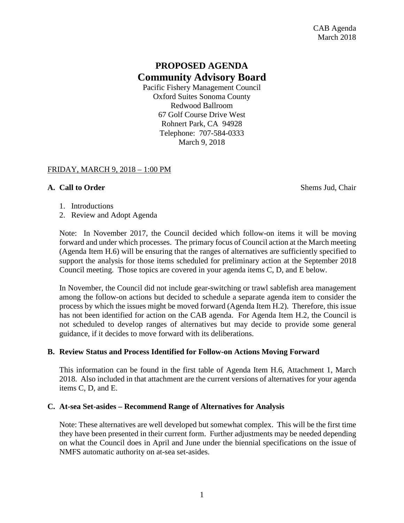# **PROPOSED AGENDA Community Advisory Board**

Pacific Fishery Management Council Oxford Suites Sonoma County Redwood Ballroom 67 Golf Course Drive West Rohnert Park, CA 94928 Telephone: 707-584-0333 March 9, 2018

#### FRIDAY, MARCH 9, 2018 – 1:00 PM

#### **A. Call to Order** Shems Jud, Chair

- 1. Introductions
- 2. Review and Adopt Agenda

Note: In November 2017, the Council decided which follow-on items it will be moving forward and under which processes. The primary focus of Council action at the March meeting (Agenda Item H.6) will be ensuring that the ranges of alternatives are sufficiently specified to support the analysis for those items scheduled for preliminary action at the September 2018 Council meeting. Those topics are covered in your agenda items C, D, and E below.

In November, the Council did not include gear-switching or trawl sablefish area management among the follow-on actions but decided to schedule a separate agenda item to consider the process by which the issues might be moved forward (Agenda Item H.2). Therefore, this issue has not been identified for action on the CAB agenda. For Agenda Item H.2, the Council is not scheduled to develop ranges of alternatives but may decide to provide some general guidance, if it decides to move forward with its deliberations.

## **B. Review Status and Process Identified for Follow-on Actions Moving Forward**

This information can be found in the first table of Agenda Item H.6, Attachment 1, March 2018. Also included in that attachment are the current versions of alternatives for your agenda items C, D, and E.

#### **C. At-sea Set-asides – Recommend Range of Alternatives for Analysis**

Note: These alternatives are well developed but somewhat complex. This will be the first time they have been presented in their current form. Further adjustments may be needed depending on what the Council does in April and June under the biennial specifications on the issue of NMFS automatic authority on at-sea set-asides.